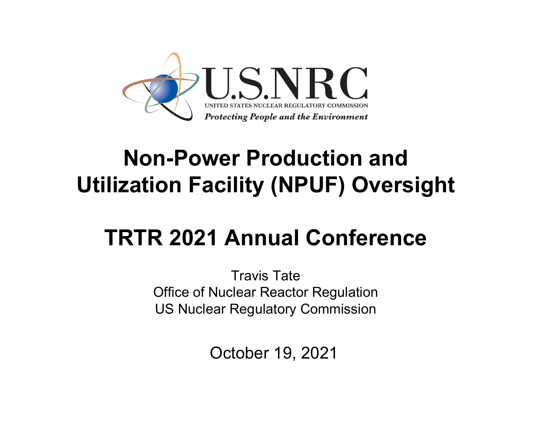

#### **Non-Power Production and Utilization Facility (NPUF) Oversight**

# **TRTR 2021 Annual Conference**

Travis TateOffice of Nuclear Reactor Regulation US Nuclear Regulatory Commission

October 19, 2021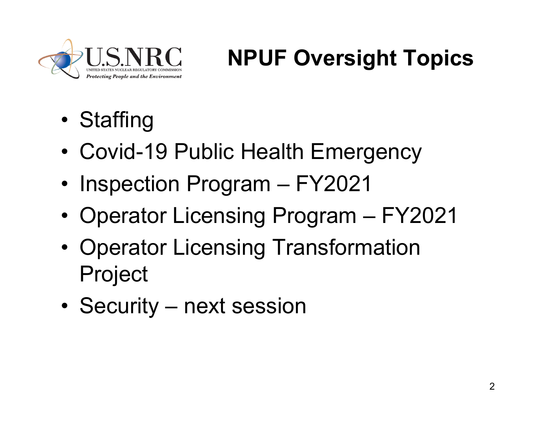

# **NPUF Oversight Topics**

- •**Staffing**
- •Covid-19 Public Health Emergency
- Inspection Program FY2021
- •Operator Licensing Program – FY2021
- • Operator Licensing Transformation Project
- •Security – next session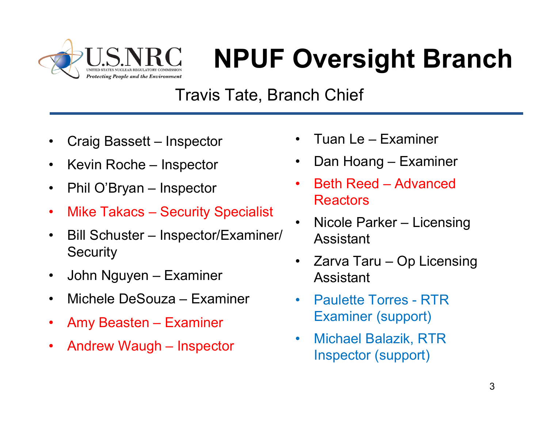

# **NPUF Oversight Branch**

#### Travis Tate, Branch Chief

- •Craig Bassett – Inspector
- •Kevin Roche – Inspector
- $\bullet$ Phil O'Bryan – Inspector
- $\bullet$ Mike Takacs – Security Specialist
- • Bill Schuster – Inspector/Examiner/ **Security**
- $\bullet$ John Nguyen – Examiner
- •Michele DeSouza – Examiner
- •Amy Beasten – Examiner
- •Andrew Waugh – Inspector
- •Tuan Le – Examiner
- •Dan Hoang – Examiner
- • Beth Reed – Advanced Reactors
- • Nicole Parker – Licensing Assistant
- $\bullet$  Zarva Taru – Op Licensing Assistant
- $\bullet$  Paulette Torres - RTR Examiner (support)
- • Michael Balazik, RTR Inspector (support)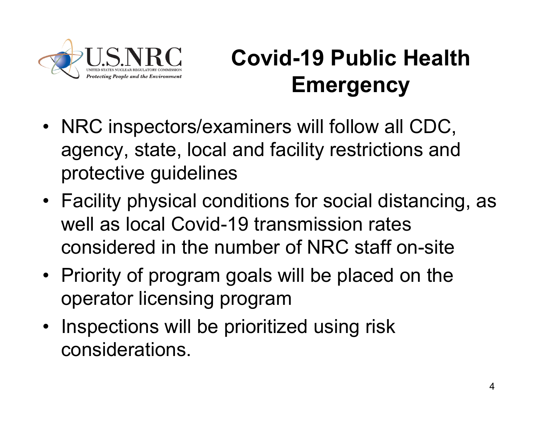

# **Covid-19 Public Health Emergency**

- NRC inspectors/examiners will follow all CDC, agency, state, local and facility restrictions and protective guidelines
- Facility physical conditions for social distancing, as well as local Covid-19 transmission rates considered in the number of NRC staff on-site
- Priority of program goals will be placed on the operator licensing program
- • Inspections will be prioritized using risk considerations.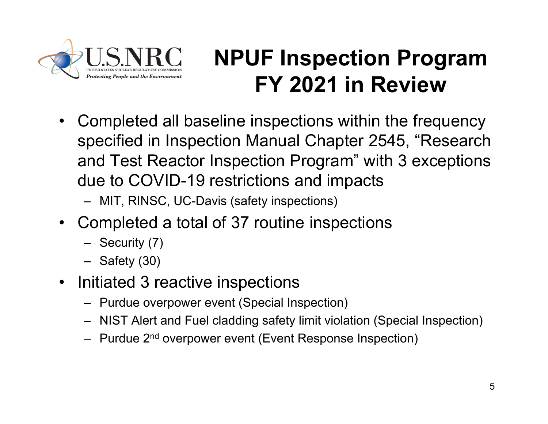

- • Completed all baseline inspections within the frequency specified in Inspection Manual Chapter 2545, "Research and Test Reactor Inspection Program" with 3 exceptions due to COVID-19 restrictions and impacts
	- MIT, RINSC, UC-Davis (safety inspections)
- • Completed a total of 37 routine inspections
	- Security (7)
	- Safety (30)
- $\bullet$  Initiated 3 reactive inspections
	- Purdue overpower event (Special Inspection)
	- NIST Alert and Fuel cladding safety limit violation (Special Inspection)
	- Purdue 2<sup>nd</sup> overpower event (Event Response Inspection)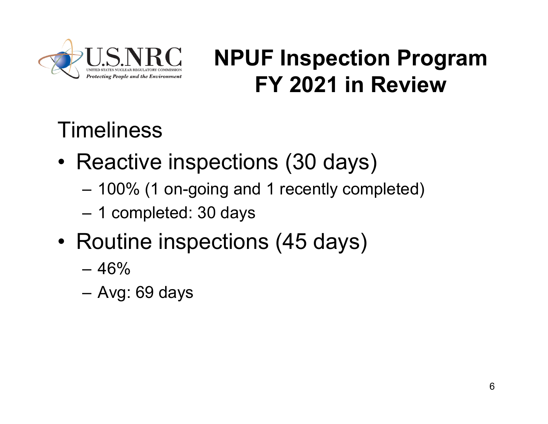

#### **Timeliness**

- • Reactive inspections (30 days)
	- 100% (1 on-going and 1 recently completed)
	- –1 completed: 30 days
- • Routine inspections (45 days)
	- 46%
	- Avg: 69 days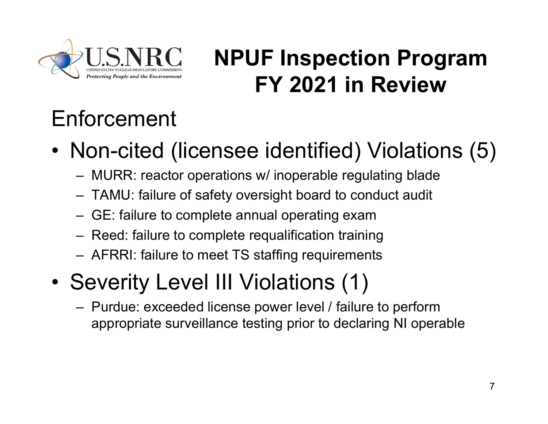

# Enforcement

- • Non-cited (licensee identified) Violations (5)
	- MURR: reactor operations w/ inoperable regulating blade
	- TAMU: failure of safety oversight board to conduct audit
	- GE: failure to complete annual operating exam
	- Reed: failure to complete requalification training
	- AFRRI: failure to meet TS staffing requirements
- • Severity Level III Violations (1)
	- Purdue: exceeded license power level / failure to perform appropriate surveillance testing prior to declaring NI operable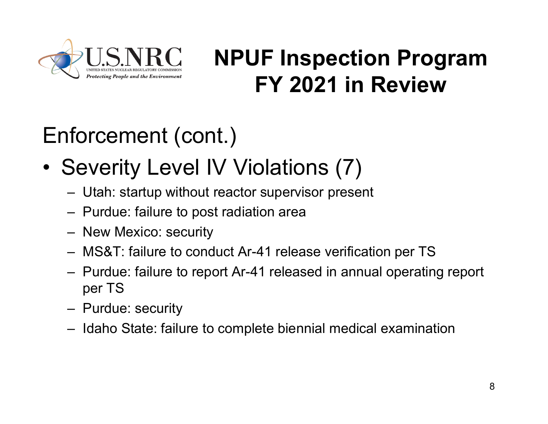

# Enforcement (cont.)

- • Severity Level IV Violations (7)
	- Utah: startup without reactor supervisor present
	- Purdue: failure to post radiation area
	- New Mexico: security
	- MS&T: failure to conduct Ar-41 release verification per TS
	- Purdue: failure to report Ar-41 released in annual operating report per TS
	- Purdue: security
	- Idaho State: failure to complete biennial medical examination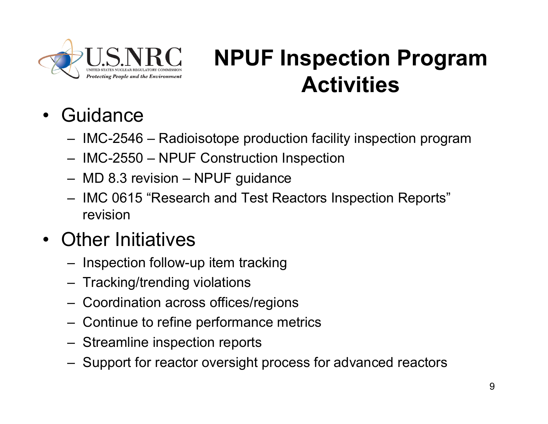

# **NPUF Inspection Program Activities**

- •**Guidance** 
	- IMC-2546 Radioisotope production facility inspection program
	- IMC-2550 NPUF Construction Inspection
	- MD 8.3 revision NPUF guidance
	- IMC 0615 "Research and Test Reactors Inspection Reports" revision
- • Other Initiatives
	- Inspection follow-up item tracking
	- Tracking/trending violations
	- Coordination across offices/regions
	- Continue to refine performance metrics
	- Streamline inspection reports
	- Support for reactor oversight process for advanced reactors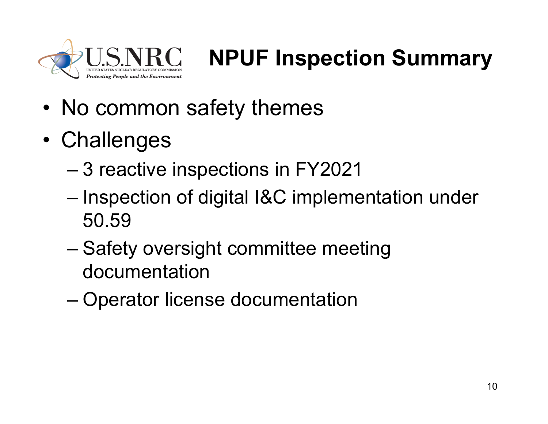

# **NPUF Inspection Summary**

- •No common safety themes
- •**Challenges** 
	- 3 reactive inspections in FY2021
	- – Inspection of digital I&C implementation under 50.59
	- – Safety oversight committee meeting documentation
	- –Operator license documentation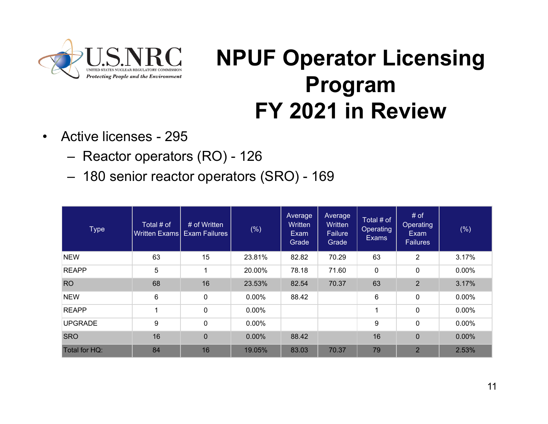

# **NPUF Operator Licensing Program FY 2021 in Review**

- $\bullet$  Active licenses - 295
	- Reactor operators (RO) 126
	- 180 senior reactor operators (SRO) 169

| <b>Type</b>    | Total # of | # of Written<br>Written Exams   Exam Failures | $(\%)$ | Average<br>Written<br>Exam<br>Grade | Average<br>Written<br>Failure<br>Grade | Total # of<br>Operating<br><b>Exams</b> | # of<br>Operating<br>Exam<br><b>Failures</b> | $(\% )$  |
|----------------|------------|-----------------------------------------------|--------|-------------------------------------|----------------------------------------|-----------------------------------------|----------------------------------------------|----------|
| <b>NEW</b>     | 63         | 15                                            | 23.81% | 82.82                               | 70.29                                  | 63                                      | $\overline{2}$                               | 3.17%    |
| <b>REAPP</b>   | 5          | 1                                             | 20.00% | 78.18                               | 71.60                                  | 0                                       | 0                                            | $0.00\%$ |
| <b>RO</b>      | 68         | 16                                            | 23.53% | 82.54                               | 70.37                                  | 63                                      | $\overline{2}$                               | 3.17%    |
| <b>NEW</b>     | 6          | $\mathbf 0$                                   | 0.00%  | 88.42                               |                                        | 6                                       | $\mathbf 0$                                  | $0.00\%$ |
| <b>REAPP</b>   | 4          | $\mathbf 0$                                   | 0.00%  |                                     |                                        | 1                                       | $\mathbf 0$                                  | 0.00%    |
| <b>UPGRADE</b> | 9          | $\mathbf 0$                                   | 0.00%  |                                     |                                        | 9                                       | $\mathbf 0$                                  | 0.00%    |
| <b>SRO</b>     | 16         | $\overline{0}$                                | 0.00%  | 88.42                               |                                        | 16                                      | $\mathbf 0$                                  | 0.00%    |
| Total for HQ:  | 84         | 16                                            | 19.05% | 83.03                               | 70.37                                  | 79                                      | $\overline{2}$                               | 2.53%    |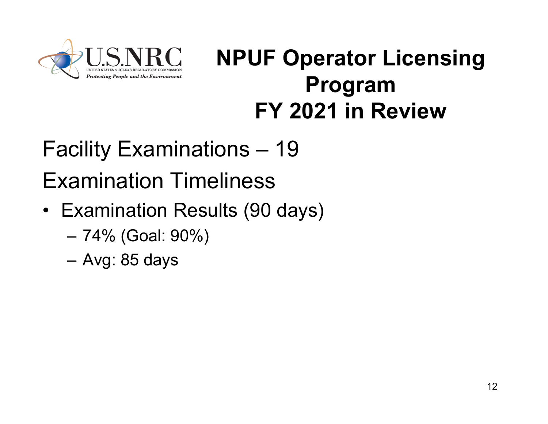

### **NPUF Operator Licensing Program FY 2021 in Review**

# Facility Examinations – 19 Examination Timeliness

- Examination Results (90 days)
	- 74% (Goal: 90%)
	- Avg: 85 days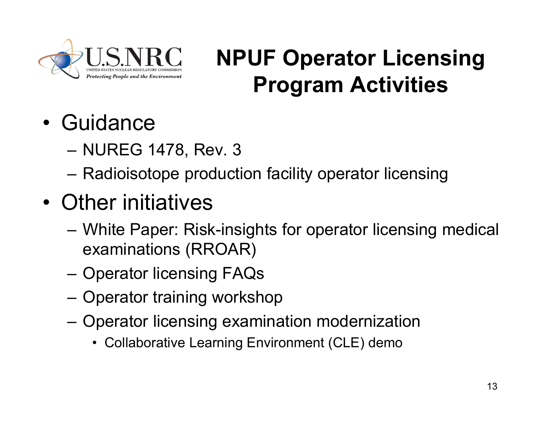

# **NPUF Operator Licensing Program Activities**

- •**Guidance** 
	- NUREG 1478, Rev. 3
	- Radioisotope production facility operator licensing
- • Other initiatives
	- White Paper: Risk-insights for operator licensing medical examinations (RROAR)
	- Operator licensing FAQs
	- Operator training workshop
	- Operator licensing examination modernization
		- Collaborative Learning Environment (CLE) demo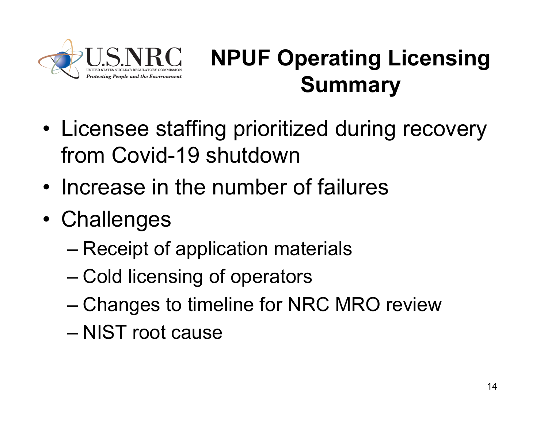

# **NPUF Operating Licensing Summary**

- • Licensee staffing prioritized during recovery from Covid-19 shutdown
- •Increase in the number of failures
- •**Challenges** 
	- –Receipt of application materials
	- –Cold licensing of operators
	- –Changes to timeline for NRC MRO review
	- NIST root cause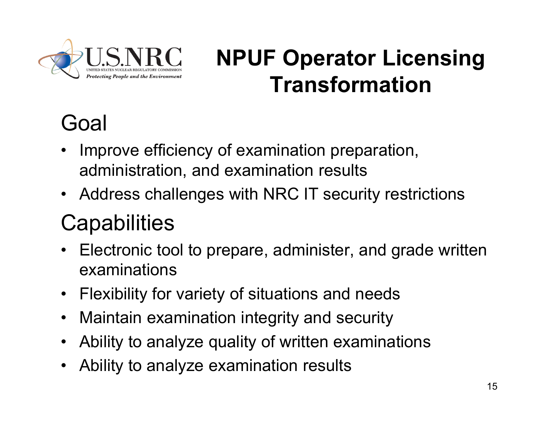

# **NPUF Operator Licensing Transformation**

# Goal

- • Improve efficiency of examination preparation, administration, and examination results
- Address challenges with NRC IT security restrictions

#### **Capabilities**

- Electronic tool to prepare, administer, and grade written examinations
- $\bullet$ Flexibility for variety of situations and needs
- $\bullet$ Maintain examination integrity and security
- $\bullet$ Ability to analyze quality of written examinations
- $\bullet$ Ability to analyze examination results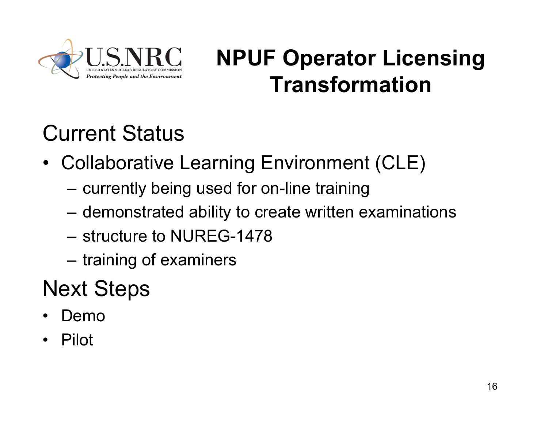

# **NPUF Operator Licensing Transformation**

# Current Status

- Collaborative Learning Environment (CLE)
	- currently being used for on-line training
	- demonstrated ability to create written examinations
	- structure to NUREG-1478
	- training of examiners

#### Next Steps

- •Demo
- •Pilot